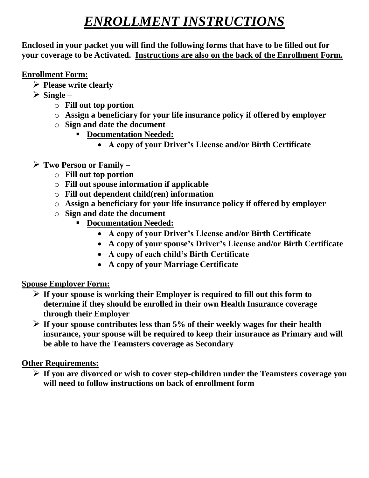# *ENROLLMENT INSTRUCTIONS*

**Enclosed in your packet you will find the following forms that have to be filled out for your coverage to be Activated. Instructions are also on the back of the Enrollment Form.**

#### **Enrollment Form:**

- ➢ **Please write clearly**
- ➢ **Single –**
	- o **Fill out top portion**
	- o **Assign a beneficiary for your life insurance policy if offered by employer**
	- o **Sign and date the document**
		- **Documentation Needed:**
			- **A copy of your Driver's License and/or Birth Certificate**

### ➢ **Two Person or Family –**

- o **Fill out top portion**
- o **Fill out spouse information if applicable**
- o **Fill out dependent child(ren) information**
- o **Assign a beneficiary for your life insurance policy if offered by employer**
- o **Sign and date the document**
	- **Documentation Needed:**
		- **A copy of your Driver's License and/or Birth Certificate**
		- **A copy of your spouse's Driver's License and/or Birth Certificate**
		- **A copy of each child's Birth Certificate**
		- **A copy of your Marriage Certificate**

### **Spouse Employer Form:**

- ➢ **If your spouse is working their Employer is required to fill out this form to determine if they should be enrolled in their own Health Insurance coverage through their Employer**
- ➢ **If your spouse contributes less than 5% of their weekly wages for their health insurance, your spouse will be required to keep their insurance as Primary and will be able to have the Teamsters coverage as Secondary**

#### **Other Requirements:**

➢ **If you are divorced or wish to cover step-children under the Teamsters coverage you will need to follow instructions on back of enrollment form**